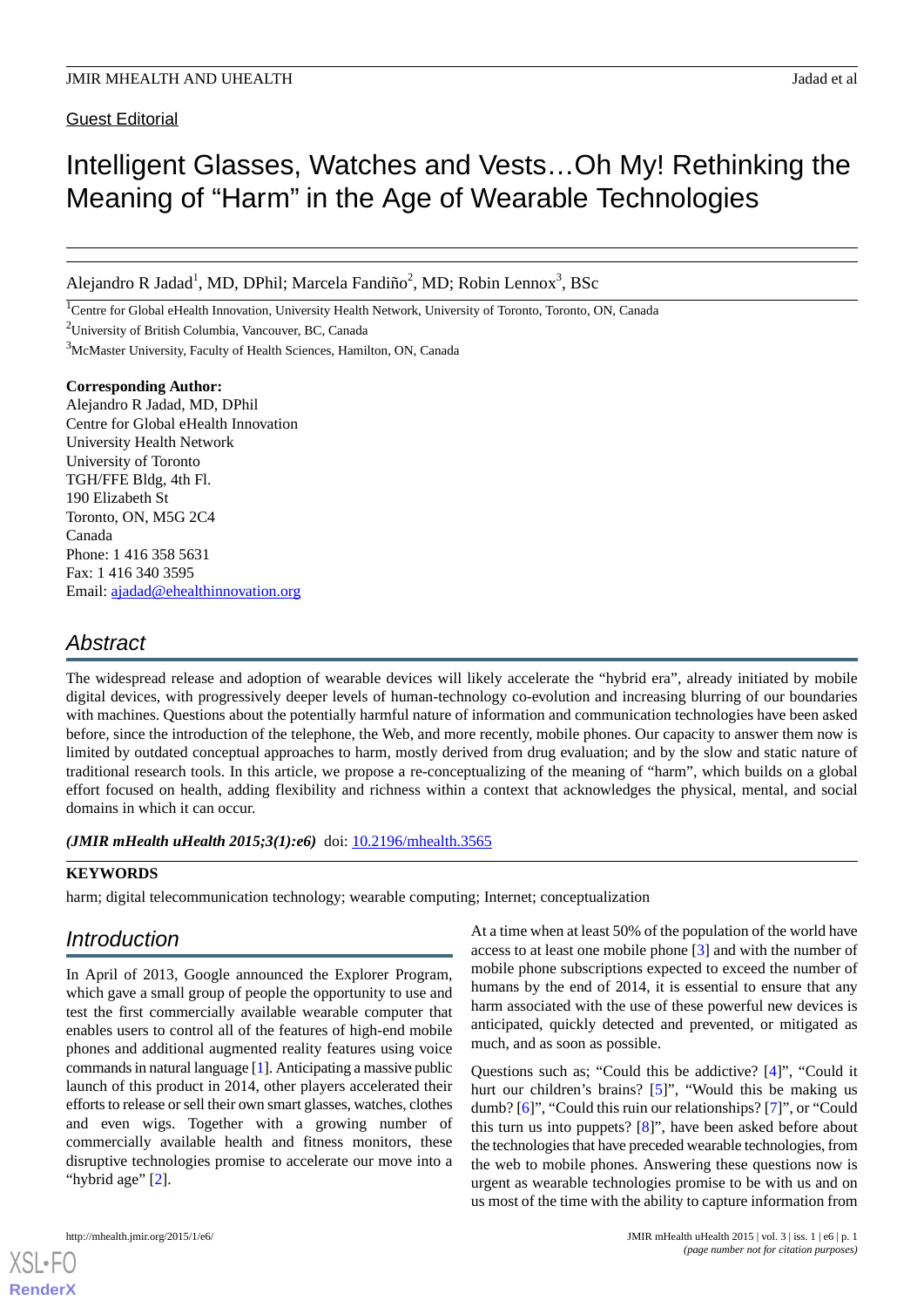Guest Editorial

# Intelligent Glasses, Watches and Vests…Oh My! Rethinking the Meaning of "Harm" in the Age of Wearable Technologies

Alejandro R Jadad<sup>1</sup>, MD, DPhil; Marcela Fandiño<sup>2</sup>, MD; Robin Lennox<sup>3</sup>, BSc

<sup>1</sup>Centre for Global eHealth Innovation, University Health Network, University of Toronto, Toronto, ON, Canada

<sup>2</sup>University of British Columbia, Vancouver, BC, Canada

<sup>3</sup>McMaster University, Faculty of Health Sciences, Hamilton, ON, Canada

#### **Corresponding Author:**

Alejandro R Jadad, MD, DPhil Centre for Global eHealth Innovation University Health Network University of Toronto TGH/FFE Bldg, 4th Fl. 190 Elizabeth St Toronto, ON, M5G 2C4 Canada Phone: 1 416 358 5631 Fax: 1 416 340 3595 Email: [ajadad@ehealthinnovation.org](mailto:ajadad@ehealthinnovation.org)

# *Abstract*

The widespread release and adoption of wearable devices will likely accelerate the "hybrid era", already initiated by mobile digital devices, with progressively deeper levels of human-technology co-evolution and increasing blurring of our boundaries with machines. Questions about the potentially harmful nature of information and communication technologies have been asked before, since the introduction of the telephone, the Web, and more recently, mobile phones. Our capacity to answer them now is limited by outdated conceptual approaches to harm, mostly derived from drug evaluation; and by the slow and static nature of traditional research tools. In this article, we propose a re-conceptualizing of the meaning of "harm", which builds on a global effort focused on health, adding flexibility and richness within a context that acknowledges the physical, mental, and social domains in which it can occur.

*(JMIR mHealth uHealth 2015;3(1):e6)* doi: [10.2196/mhealth.3565](http://dx.doi.org/10.2196/mhealth.3565)

### **KEYWORDS**

harm; digital telecommunication technology; wearable computing; Internet; conceptualization

## *Introduction*

In April of 2013, Google announced the Explorer Program, which gave a small group of people the opportunity to use and test the first commercially available wearable computer that enables users to control all of the features of high-end mobile phones and additional augmented reality features using voice commands in natural language [\[1](#page-2-0)]. Anticipating a massive public launch of this product in 2014, other players accelerated their efforts to release or sell their own smart glasses, watches, clothes and even wigs. Together with a growing number of commercially available health and fitness monitors, these disruptive technologies promise to accelerate our move into a "hybrid age" [[2\]](#page-2-1).

[XSL](http://www.w3.org/Style/XSL)•FO **[RenderX](http://www.renderx.com/)**

At a time when at least 50% of the population of the world have access to at least one mobile phone [\[3](#page-2-2)] and with the number of mobile phone subscriptions expected to exceed the number of humans by the end of 2014, it is essential to ensure that any harm associated with the use of these powerful new devices is anticipated, quickly detected and prevented, or mitigated as much, and as soon as possible.

Questions such as; "Could this be addictive? [[4\]](#page-2-3)", "Could it hurt our children's brains? [\[5](#page-2-4)]", "Would this be making us dumb? [\[6](#page-2-5)]", "Could this ruin our relationships? [\[7](#page-2-6)]", or "Could this turn us into puppets? [[8\]](#page-2-7)", have been asked before about the technologies that have preceded wearable technologies, from the web to mobile phones. Answering these questions now is urgent as wearable technologies promise to be with us and on us most of the time with the ability to capture information from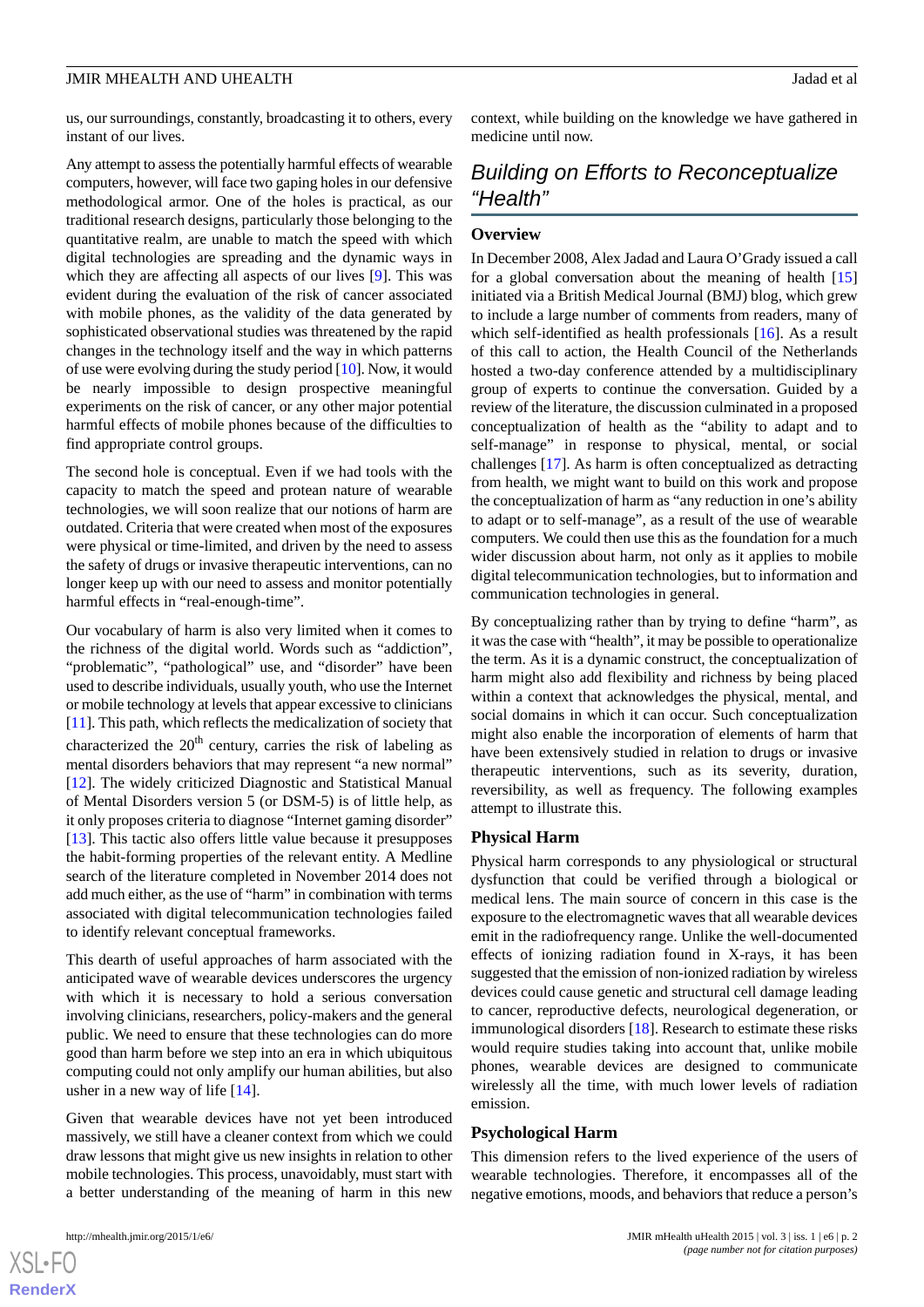#### JMIR MHEALTH AND UHEALTH **Jadad et al.** Jadad et al. Jadad et al. Jadad et al. Jadad et al. Jadad et al. Jadad et al. Jadad et al. Jadad et al. Jadad et al. Jadad et al. Jadad et al. Jadad et al. Jadad et al. Jadad et al.

us, our surroundings, constantly, broadcasting it to others, every instant of our lives.

Any attempt to assess the potentially harmful effects of wearable computers, however, will face two gaping holes in our defensive methodological armor. One of the holes is practical, as our traditional research designs, particularly those belonging to the quantitative realm, are unable to match the speed with which digital technologies are spreading and the dynamic ways in which they are affecting all aspects of our lives [\[9](#page-3-0)]. This was evident during the evaluation of the risk of cancer associated with mobile phones, as the validity of the data generated by sophisticated observational studies was threatened by the rapid changes in the technology itself and the way in which patterns of use were evolving during the study period [[10](#page-3-1)]. Now, it would be nearly impossible to design prospective meaningful experiments on the risk of cancer, or any other major potential harmful effects of mobile phones because of the difficulties to find appropriate control groups.

The second hole is conceptual. Even if we had tools with the capacity to match the speed and protean nature of wearable technologies, we will soon realize that our notions of harm are outdated. Criteria that were created when most of the exposures were physical or time-limited, and driven by the need to assess the safety of drugs or invasive therapeutic interventions, can no longer keep up with our need to assess and monitor potentially harmful effects in "real-enough-time".

Our vocabulary of harm is also very limited when it comes to the richness of the digital world. Words such as "addiction", "problematic", "pathological" use, and "disorder" have been used to describe individuals, usually youth, who use the Internet or mobile technology at levels that appear excessive to clinicians [[11\]](#page-3-2). This path, which reflects the medicalization of society that characterized the  $20<sup>th</sup>$  century, carries the risk of labeling as mental disorders behaviors that may represent "a new normal" [[12\]](#page-3-3). The widely criticized Diagnostic and Statistical Manual of Mental Disorders version 5 (or DSM-5) is of little help, as it only proposes criteria to diagnose "Internet gaming disorder" [[13\]](#page-3-4). This tactic also offers little value because it presupposes the habit-forming properties of the relevant entity. A Medline search of the literature completed in November 2014 does not add much either, as the use of "harm" in combination with terms associated with digital telecommunication technologies failed to identify relevant conceptual frameworks.

This dearth of useful approaches of harm associated with the anticipated wave of wearable devices underscores the urgency with which it is necessary to hold a serious conversation involving clinicians, researchers, policy-makers and the general public. We need to ensure that these technologies can do more good than harm before we step into an era in which ubiquitous computing could not only amplify our human abilities, but also usher in a new way of life [[14\]](#page-3-5).

Given that wearable devices have not yet been introduced massively, we still have a cleaner context from which we could draw lessons that might give us new insights in relation to other mobile technologies. This process, unavoidably, must start with a better understanding of the meaning of harm in this new

 $X$ SL•F **[RenderX](http://www.renderx.com/)** context, while building on the knowledge we have gathered in medicine until now.

# *Building on Efforts to Reconceptualize "Health"*

#### **Overview**

In December 2008, Alex Jadad and Laura O'Grady issued a call for a global conversation about the meaning of health [\[15](#page-3-6)] initiated via a British Medical Journal (BMJ) blog, which grew to include a large number of comments from readers, many of which self-identified as health professionals [\[16](#page-3-7)]. As a result of this call to action, the Health Council of the Netherlands hosted a two-day conference attended by a multidisciplinary group of experts to continue the conversation. Guided by a review of the literature, the discussion culminated in a proposed conceptualization of health as the "ability to adapt and to self-manage" in response to physical, mental, or social challenges [[17\]](#page-3-8). As harm is often conceptualized as detracting from health, we might want to build on this work and propose the conceptualization of harm as "any reduction in one's ability to adapt or to self-manage", as a result of the use of wearable computers. We could then use this as the foundation for a much wider discussion about harm, not only as it applies to mobile digital telecommunication technologies, but to information and communication technologies in general.

By conceptualizing rather than by trying to define "harm", as it was the case with "health", it may be possible to operationalize the term. As it is a dynamic construct, the conceptualization of harm might also add flexibility and richness by being placed within a context that acknowledges the physical, mental, and social domains in which it can occur. Such conceptualization might also enable the incorporation of elements of harm that have been extensively studied in relation to drugs or invasive therapeutic interventions, such as its severity, duration, reversibility, as well as frequency. The following examples attempt to illustrate this.

#### **Physical Harm**

Physical harm corresponds to any physiological or structural dysfunction that could be verified through a biological or medical lens. The main source of concern in this case is the exposure to the electromagnetic waves that all wearable devices emit in the radiofrequency range. Unlike the well-documented effects of ionizing radiation found in X-rays, it has been suggested that the emission of non-ionized radiation by wireless devices could cause genetic and structural cell damage leading to cancer, reproductive defects, neurological degeneration, or immunological disorders [[18\]](#page-3-9). Research to estimate these risks would require studies taking into account that, unlike mobile phones, wearable devices are designed to communicate wirelessly all the time, with much lower levels of radiation emission.

#### **Psychological Harm**

This dimension refers to the lived experience of the users of wearable technologies. Therefore, it encompasses all of the negative emotions, moods, and behaviors that reduce a person's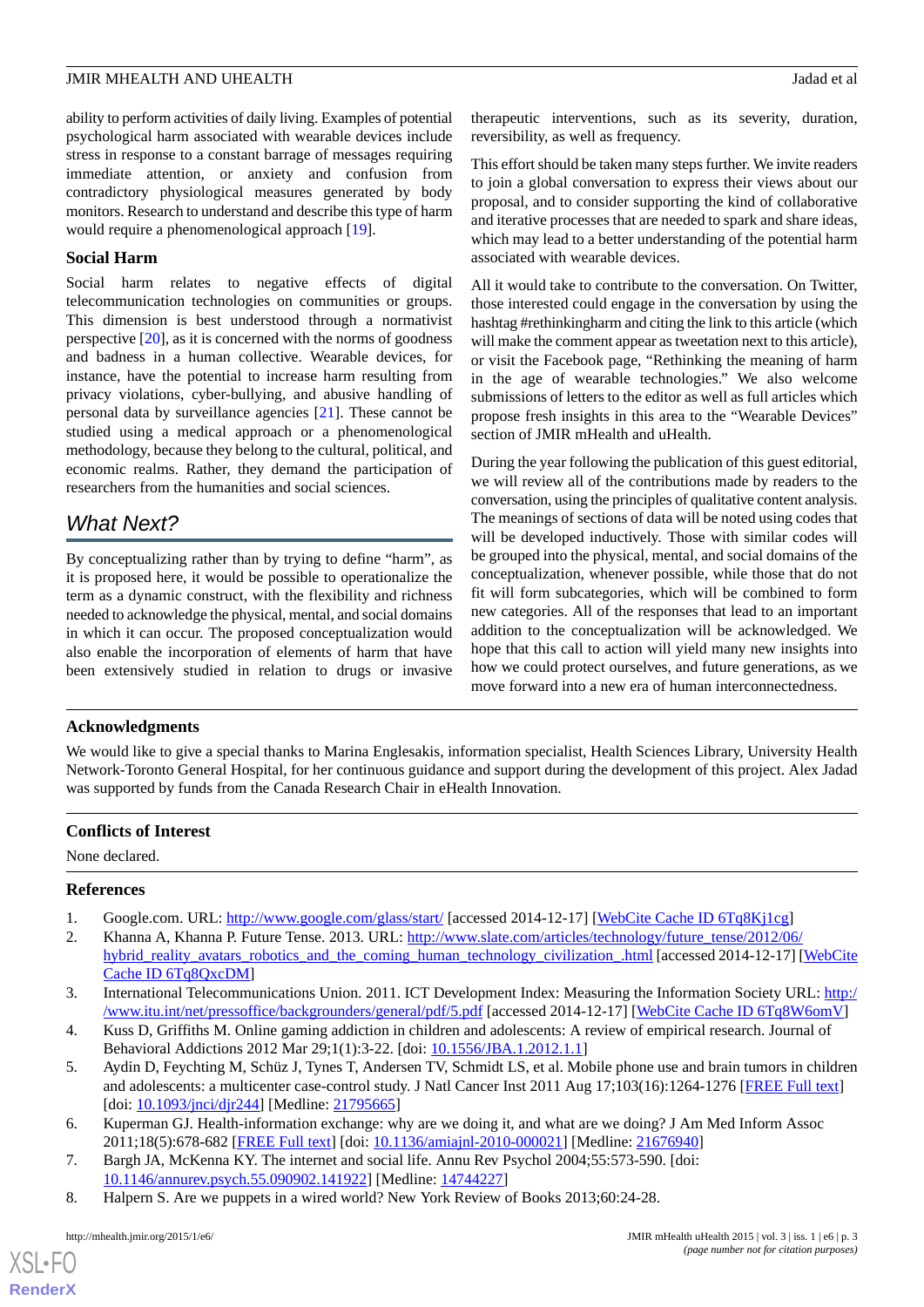#### JMIR MHEALTH AND UHEALTH **Jadad et al.** Jadad et al. Jadad et al. Jadad et al. Jadad et al. Jadad et al. Jadad et al. Jadad et al. Jadad et al. Jadad et al. Jadad et al. Jadad et al. Jadad et al. Jadad et al. Jadad et al.

ability to perform activities of daily living. Examples of potential psychological harm associated with wearable devices include stress in response to a constant barrage of messages requiring immediate attention, or anxiety and confusion from contradictory physiological measures generated by body monitors. Research to understand and describe this type of harm would require a phenomenological approach [\[19](#page-3-10)].

#### **Social Harm**

Social harm relates to negative effects of digital telecommunication technologies on communities or groups. This dimension is best understood through a normativist perspective [\[20](#page-3-11)], as it is concerned with the norms of goodness and badness in a human collective. Wearable devices, for instance, have the potential to increase harm resulting from privacy violations, cyber-bullying, and abusive handling of personal data by surveillance agencies [[21\]](#page-3-12). These cannot be studied using a medical approach or a phenomenological methodology, because they belong to the cultural, political, and economic realms. Rather, they demand the participation of researchers from the humanities and social sciences.

### *What Next?*

By conceptualizing rather than by trying to define "harm", as it is proposed here, it would be possible to operationalize the term as a dynamic construct, with the flexibility and richness needed to acknowledge the physical, mental, and social domains in which it can occur. The proposed conceptualization would also enable the incorporation of elements of harm that have been extensively studied in relation to drugs or invasive

therapeutic interventions, such as its severity, duration, reversibility, as well as frequency.

This effort should be taken many steps further. We invite readers to join a global conversation to express their views about our proposal, and to consider supporting the kind of collaborative and iterative processes that are needed to spark and share ideas, which may lead to a better understanding of the potential harm associated with wearable devices.

All it would take to contribute to the conversation. On Twitter, those interested could engage in the conversation by using the hashtag #rethinkingharm and citing the link to this article (which will make the comment appear as tweetation next to this article), or visit the Facebook page, "Rethinking the meaning of harm in the age of wearable technologies." We also welcome submissions of letters to the editor as well as full articles which propose fresh insights in this area to the "Wearable Devices" section of JMIR mHealth and uHealth.

During the year following the publication of this guest editorial, we will review all of the contributions made by readers to the conversation, using the principles of qualitative content analysis. The meanings of sections of data will be noted using codes that will be developed inductively. Those with similar codes will be grouped into the physical, mental, and social domains of the conceptualization, whenever possible, while those that do not fit will form subcategories, which will be combined to form new categories. All of the responses that lead to an important addition to the conceptualization will be acknowledged. We hope that this call to action will yield many new insights into how we could protect ourselves, and future generations, as we move forward into a new era of human interconnectedness.

#### **Acknowledgments**

We would like to give a special thanks to Marina Englesakis, information specialist, Health Sciences Library, University Health Network-Toronto General Hospital, for her continuous guidance and support during the development of this project. Alex Jadad was supported by funds from the Canada Research Chair in eHealth Innovation.

### <span id="page-2-0"></span>**Conflicts of Interest**

<span id="page-2-1"></span>None declared.

#### <span id="page-2-2"></span>**References**

- 1. Google.com. URL: <http://www.google.com/glass/start/> [accessed 2014-12-17] [[WebCite Cache ID 6Tq8Kj1cg](http://www.webcitation.org/

                    6Tq8Kj1cg)]
- <span id="page-2-4"></span><span id="page-2-3"></span>2. Khanna A, Khanna P. Future Tense. 2013. URL: [http://www.slate.com/articles/technology/future\\_tense/2012/06/](http://www.slate.com/articles/technology/future_tense/2012/06/hybrid_reality_avatars_robotics_and_the_coming_human_technology_civilization_.html) [hybrid\\_reality\\_avatars\\_robotics\\_and\\_the\\_coming\\_human\\_technology\\_civilization\\_.html](http://www.slate.com/articles/technology/future_tense/2012/06/hybrid_reality_avatars_robotics_and_the_coming_human_technology_civilization_.html) [accessed 2014-12-17] [\[WebCite](http://www.webcitation.org/

                                    6Tq8QxcDM) [Cache ID 6Tq8QxcDM\]](http://www.webcitation.org/

                                    6Tq8QxcDM)
- 3. International Telecommunications Union. 2011. ICT Development Index: Measuring the Information Society URL: [http:/](http://www.itu.int/net/pressoffice/backgrounders/general/pdf/5.pdf) [/www.itu.int/net/pressoffice/backgrounders/general/pdf/5.pdf](http://www.itu.int/net/pressoffice/backgrounders/general/pdf/5.pdf) [accessed 2014-12-17] [\[WebCite Cache ID 6Tq8W6omV\]](http://www.webcitation.org/

                                    6Tq8W6omV)
- <span id="page-2-6"></span><span id="page-2-5"></span>4. Kuss D, Griffiths M. Online gaming addiction in children and adolescents: A review of empirical research. Journal of Behavioral Addictions 2012 Mar 29;1(1):3-22. [doi: [10.1556/JBA.1.2012.1.1](http://dx.doi.org/10.1556/JBA.1.2012.1.1)]
- <span id="page-2-7"></span>5. Aydin D, Feychting M, Schüz J, Tynes T, Andersen TV, Schmidt LS, et al. Mobile phone use and brain tumors in children and adolescents: a multicenter case-control study. J Natl Cancer Inst 2011 Aug 17;103(16):1264-1276 [\[FREE Full text\]](http://jnci.oxfordjournals.org/cgi/pmidlookup?view=long&pmid=21795665) [doi: <u>[10.1093/jnci/djr244](http://dx.doi.org/10.1093/jnci/djr244)</u>] [Medline: [21795665\]](http://www.ncbi.nlm.nih.gov/entrez/query.fcgi?cmd=Retrieve&db=PubMed&list_uids=21795665&dopt=Abstract)
- 6. Kuperman GJ. Health-information exchange: why are we doing it, and what are we doing? J Am Med Inform Assoc 2011;18(5):678-682 [[FREE Full text](http://jamia.bmj.com/cgi/pmidlookup?view=long&pmid=21676940)] [doi: [10.1136/amiajnl-2010-000021](http://dx.doi.org/10.1136/amiajnl-2010-000021)] [Medline: [21676940](http://www.ncbi.nlm.nih.gov/entrez/query.fcgi?cmd=Retrieve&db=PubMed&list_uids=21676940&dopt=Abstract)]
- 7. Bargh JA, McKenna KY. The internet and social life. Annu Rev Psychol 2004;55:573-590. [doi: [10.1146/annurev.psych.55.090902.141922](http://dx.doi.org/10.1146/annurev.psych.55.090902.141922)] [Medline: [14744227](http://www.ncbi.nlm.nih.gov/entrez/query.fcgi?cmd=Retrieve&db=PubMed&list_uids=14744227&dopt=Abstract)]
- 8. Halpern S. Are we puppets in a wired world? New York Review of Books 2013;60:24-28.

[XSL](http://www.w3.org/Style/XSL)•FO **[RenderX](http://www.renderx.com/)**